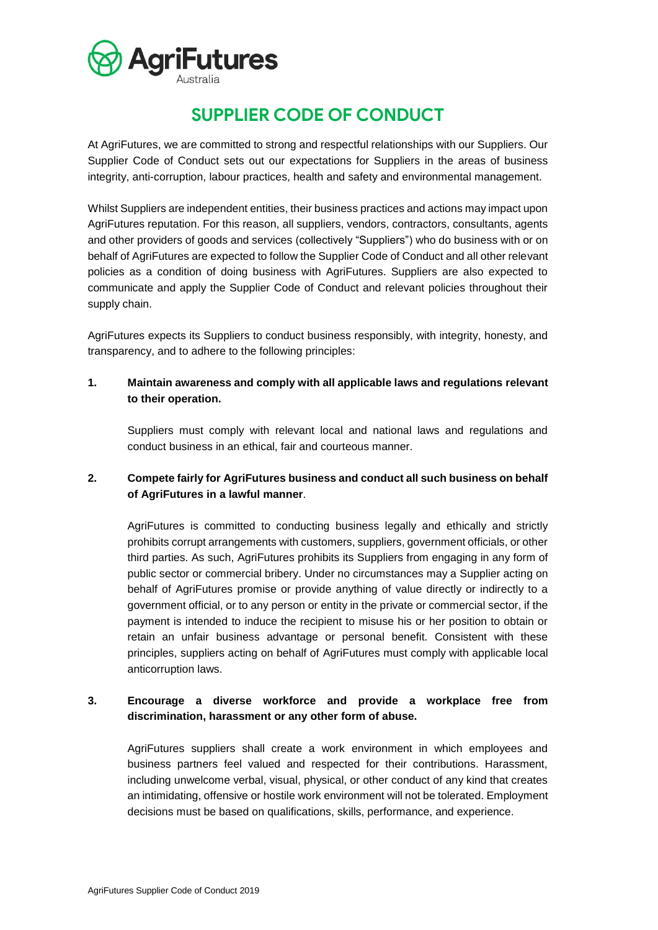

# **SUPPLIER CODE OF CONDUCT**

At AgriFutures, we are committed to strong and respectful relationships with our Suppliers. Our Supplier Code of Conduct sets out our expectations for Suppliers in the areas of business integrity, anti-corruption, labour practices, health and safety and environmental management.

Whilst Suppliers are independent entities, their business practices and actions may impact upon AgriFutures reputation. For this reason, all suppliers, vendors, contractors, consultants, agents and other providers of goods and services (collectively "Suppliers") who do business with or on behalf of AgriFutures are expected to follow the Supplier Code of Conduct and all other relevant policies as a condition of doing business with AgriFutures. Suppliers are also expected to communicate and apply the Supplier Code of Conduct and relevant policies throughout their supply chain.

AgriFutures expects its Suppliers to conduct business responsibly, with integrity, honesty, and transparency, and to adhere to the following principles:

#### **1. Maintain awareness and comply with all applicable laws and regulations relevant to their operation.**

Suppliers must comply with relevant local and national laws and regulations and conduct business in an ethical, fair and courteous manner.

## **2. Compete fairly for AgriFutures business and conduct all such business on behalf of AgriFutures in a lawful manner**.

AgriFutures is committed to conducting business legally and ethically and strictly prohibits corrupt arrangements with customers, suppliers, government officials, or other third parties. As such, AgriFutures prohibits its Suppliers from engaging in any form of public sector or commercial bribery. Under no circumstances may a Supplier acting on behalf of AgriFutures promise or provide anything of value directly or indirectly to a government official, or to any person or entity in the private or commercial sector, if the payment is intended to induce the recipient to misuse his or her position to obtain or retain an unfair business advantage or personal benefit. Consistent with these principles, suppliers acting on behalf of AgriFutures must comply with applicable local anticorruption laws.

## **3. Encourage a diverse workforce and provide a workplace free from discrimination, harassment or any other form of abuse.**

AgriFutures suppliers shall create a work environment in which employees and business partners feel valued and respected for their contributions. Harassment, including unwelcome verbal, visual, physical, or other conduct of any kind that creates an intimidating, offensive or hostile work environment will not be tolerated. Employment decisions must be based on qualifications, skills, performance, and experience.